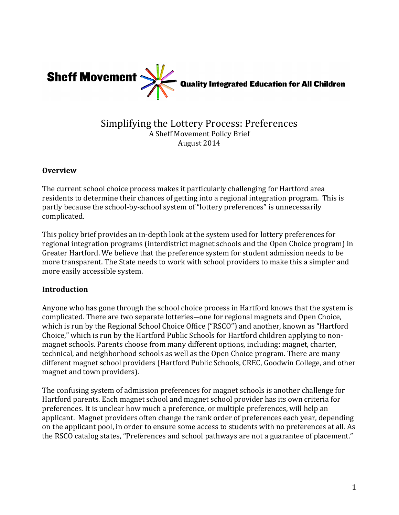

# Simplifying the Lottery Process: Preferences A Sheff Movement Policy Brief August 2014

#### **Overview**

The current school choice process makes it particularly challenging for Hartford area residents to determine their chances of getting into a regional integration program. This is partly because the school-by-school system of "lottery preferences" is unnecessarily complicated. 

This policy brief provides an in-depth look at the system used for lottery preferences for regional integration programs (interdistrict magnet schools and the Open Choice program) in Greater Hartford. We believe that the preference system for student admission needs to be more transparent. The State needs to work with school providers to make this a simpler and more easily accessible system.

## **Introduction**

Anyone who has gone through the school choice process in Hartford knows that the system is complicated. There are two separate lotteries—one for regional magnets and Open Choice, which is run by the Regional School Choice Office ("RSCO") and another, known as "Hartford Choice," which is run by the Hartford Public Schools for Hartford children applying to nonmagnet schools. Parents choose from many different options, including: magnet, charter, technical, and neighborhood schools as well as the Open Choice program. There are many different magnet school providers (Hartford Public Schools, CREC, Goodwin College, and other magnet and town providers).

The confusing system of admission preferences for magnet schools is another challenge for Hartford parents. Each magnet school and magnet school provider has its own criteria for preferences. It is unclear how much a preference, or multiple preferences, will help an applicant. Magnet providers often change the rank order of preferences each year, depending on the applicant pool, in order to ensure some access to students with no preferences at all. As the RSCO catalog states, "Preferences and school pathways are not a guarantee of placement."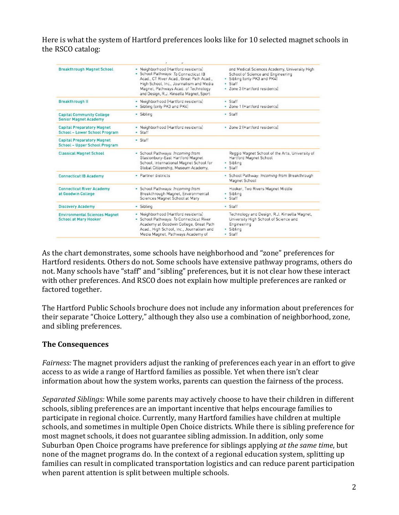Here is what the system of Hartford preferences looks like for 10 selected magnet schools in the RSCO catalog:

| <b>Breakthrough Magnet School</b>                                    | · Neighborhood (Hartford residents)<br>- School Pathways: To Connecticut IB<br>Acad., CT River Acad., Great Path Acad.,<br>High School, Inc., Journalism and Media.<br>Magnet, Pathways Acad. of Technology<br>and Design, R.J. Kinsella Magnet, Sport | and Medical Sciences Academy, University High-<br>School of Science and Engineering<br>. Sibling lonly PK3 and PK4]<br>· Staff<br>· Zone 3 [Hartford residents] |
|----------------------------------------------------------------------|--------------------------------------------------------------------------------------------------------------------------------------------------------------------------------------------------------------------------------------------------------|-----------------------------------------------------------------------------------------------------------------------------------------------------------------|
| <b>Breakthrough II</b>                                               | - Neighborhood (Hartford residents)<br>- Sibling (only PK3 and PK4)                                                                                                                                                                                    | · Staff<br>· Zone 1 [Hartford residents]                                                                                                                        |
| <b>Capital Community College</b><br><b>Senior Magnet Academy</b>     | - Sibling                                                                                                                                                                                                                                              | · Staff                                                                                                                                                         |
| <b>Capital Preparatory Magnet</b><br>School - Lower School Program   | · Neighborhood (Hartford residents)<br>· Staff                                                                                                                                                                                                         | · Zone 2 [Hartford residents]                                                                                                                                   |
| <b>Capital Preparatory Magnet</b><br>School - Upper School Program   | - Staff                                                                                                                                                                                                                                                |                                                                                                                                                                 |
| <b>Classical Magnet School</b>                                       | · School Pathways: Incoming from<br>Glastonbury-East Hartford Magnet<br>School, International Magnet School for<br>Global Citizenship, Museum Academy,                                                                                                 | Reggio Magnet School of the Arts, University of<br>Hartford Magnet School<br>· Sibling<br>· Staff                                                               |
| <b>Connecticut IB Academy</b>                                        | - Partner districts                                                                                                                                                                                                                                    | · School Pathway: Incoming from Breakthrough<br>Magnet School                                                                                                   |
| <b>Connecticut River Academy</b><br>at Goodwin College               | - School Pathways: Incoming from<br>Breakthrough Magnet, Environmental<br>Sciences Magnet School at Mary                                                                                                                                               | Hooker, Two Rivers Magnet Middle<br>· Sibling<br>· Staff                                                                                                        |
| <b>Discovery Academy</b>                                             | - Sibling                                                                                                                                                                                                                                              | · Staff                                                                                                                                                         |
| <b>Environmental Sciences Magnet</b><br><b>School at Mary Hooker</b> | - Neighborhood (Hartford residents)<br>· School Pathways: To Connecticut River<br>Academy at Goodwin College, Great Path<br>Acad., High School, Inc., Journalism and<br>Media Magnet, Pathways Academy of                                              | Technology and Design, R.J. Kinsella Magnet,<br>University High School of Science and<br>Engineering<br>· Sibling<br>· Staff                                    |

As the chart demonstrates, some schools have neighborhood and "zone" preferences for Hartford residents. Others do not. Some schools have extensive pathway programs, others do not. Many schools have "staff" and "sibling" preferences, but it is not clear how these interact with other preferences. And RSCO does not explain how multiple preferences are ranked or factored together.

The Hartford Public Schools brochure does not include any information about preferences for their separate "Choice Lottery," although they also use a combination of neighborhood, zone, and sibling preferences.

## **The Consequences**

*Fairness:* The magnet providers adjust the ranking of preferences each year in an effort to give access to as wide a range of Hartford families as possible. Yet when there isn't clear information about how the system works, parents can question the fairness of the process.

*Separated Siblings:* While some parents may actively choose to have their children in different schools, sibling preferences are an important incentive that helps encourage families to participate in regional choice. Currently, many Hartford families have children at multiple schools, and sometimes in multiple Open Choice districts. While there is sibling preference for most magnet schools, it does not guarantee sibling admission. In addition, only some Suburban Open Choice programs have preference for siblings applying *at the same time*, but none of the magnet programs do. In the context of a regional education system, splitting up families can result in complicated transportation logistics and can reduce parent participation when parent attention is split between multiple schools.